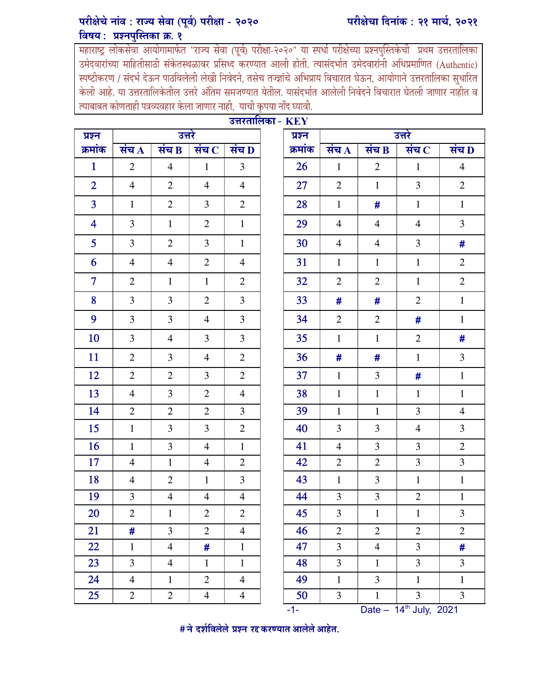## परीक्षेचे नांव : राज्य सेवा (पूर्व) परीक्षा - २०२० विषय: प्रश्नपुस्तिका क्र. १

उमेदवारांच्या माहितीसाठी संकेतस्थळावर प्रसिध्द करण्यात आली होती. त्यासंदर्भात उमेदवारांनी अधिप्रमाणित (Authentic) स्पष्टीकरण / संदर्भ देऊन पाठविलेली लेखी निवेदने, तसेच तज्ज्ञांचे अभिप्राय विचारात घेऊन, आयोगाने उत्तरतालिका सुधारित केली आहे. या उत्तरतालिकेतील उत्तरे अंतिम समजण्यात येतील. यासंदर्भात आलेली निवेदने विचारात घेतली जाणार नाहीत व त्याबाबत कोणताही पत्रव्यवहार केला जाणार नाही, याची कृपया नोंद घ्यावी.

| उत्तरतालिका - $\mathbf{KEY}$ |                          |                    |                             |                    |  |             |                    |                    |                                    |                |  |
|------------------------------|--------------------------|--------------------|-----------------------------|--------------------|--|-------------|--------------------|--------------------|------------------------------------|----------------|--|
| प्रश्न                       | उत्तरे                   |                    |                             |                    |  | प्रश्न      |                    | उत्तरे             |                                    |                |  |
| क्रमांक                      | संच $\overline{A}$       | संच $\overline{B}$ | संच $\overline{\mathbf{C}}$ | संच $\overline{D}$ |  | क्रमांक     | संच $\overline{A}$ | संच $\overline{B}$ | संच $\overline{\mathbf{C}}$        | संच D          |  |
| $\mathbf{1}$                 | $\overline{2}$           | $\overline{4}$     | $\mathbf{1}$                | $\overline{3}$     |  | 26          | $\mathbf{1}$       | $\overline{2}$     | $\mathbf{1}$                       | $\overline{4}$ |  |
| $\overline{2}$               | $\overline{4}$           | $\mathbf{2}$       | $\overline{4}$              | $\overline{4}$     |  | 27          | $\mathbf{2}$       | $\mathbf{1}$       | 3                                  | $\overline{2}$ |  |
| $\overline{3}$               | $\mathbf{1}$             | $\mathbf{2}$       | 3                           | $\mathfrak{2}$     |  | 28          | $\mathbf{1}$       | #                  | $\mathbf{1}$                       | $\mathbf{1}$   |  |
| $\overline{4}$               | 3                        | $\mathbf{1}$       | $\mathfrak{2}$              | $\mathbf{1}$       |  | 29          | $\overline{4}$     | $\overline{4}$     | $\overline{4}$                     | $\overline{3}$ |  |
| 5 <sup>5</sup>               | $\overline{3}$           | $\overline{2}$     | 3                           | $\mathbf{1}$       |  | 30          | $\overline{4}$     | $\overline{4}$     | 3                                  | #              |  |
| 6                            | $\overline{4}$           | $\overline{4}$     | $\mathbf{2}$                | $\overline{4}$     |  | 31          | $\mathbf{1}$       | $\mathbf{1}$       | $\mathbf{1}$                       | $\overline{2}$ |  |
| $\overline{7}$               | $\overline{2}$           | $\mathbf{1}$       | $\mathbf{1}$                | $\mathfrak{2}$     |  | 32          | $\overline{2}$     | $\overline{2}$     | $\mathbf{1}$                       | $\overline{2}$ |  |
| 8                            | 3                        | $\overline{3}$     | $\mathfrak{2}$              | 3                  |  | 33          | #                  | #                  | $\mathbf{2}$                       | $\mathbf{1}$   |  |
| 9                            | $\overline{3}$           | $\overline{3}$     | $\overline{4}$              | $\overline{3}$     |  | 34          | $\overline{2}$     | $\overline{2}$     | #                                  | $\mathbf{1}$   |  |
| 10                           | $\overline{3}$           | $\overline{4}$     | 3                           | $\overline{3}$     |  | 35          | $\mathbf{1}$       | $\mathbf{1}$       | $\mathfrak{2}$                     | #              |  |
| 11                           | $\overline{2}$           | 3                  | $\overline{4}$              | $\mathfrak{2}$     |  | 36          | #                  | #                  | $\mathbf{1}$                       | 3              |  |
| 12                           | $\overline{2}$           | $\overline{2}$     | 3                           | $\overline{2}$     |  | 37          | $\mathbf{1}$       | 3                  | #                                  | $\mathbf{1}$   |  |
| 13                           | $\overline{4}$           | $\overline{3}$     | $\mathbf{2}$                | $\overline{4}$     |  | 38          | $\mathbf{1}$       | $\mathbf{1}$       | $\mathbf{1}$                       | $\mathbf{1}$   |  |
| 14                           | $\overline{2}$           | $\overline{2}$     | $\mathbf{2}$                | $\overline{3}$     |  | 39          | $\mathbf{1}$       | $\mathbf{1}$       | $\overline{3}$                     | $\overline{4}$ |  |
| 15                           | $\mathbf{1}$             | 3                  | 3                           | $\mathbf{2}$       |  | 40          | 3                  | 3                  | $\overline{4}$                     | 3              |  |
| 16                           | $\mathbf{1}$             | $\overline{3}$     | $\overline{4}$              | $\mathbf{1}$       |  | 41          | $\overline{4}$     | $\overline{3}$     | 3                                  | $\mathbf{2}$   |  |
| 17                           | $\overline{4}$           | $\mathbf{1}$       | $\overline{4}$              | $\overline{2}$     |  | 42          | $\mathbf{2}$       | $\overline{2}$     | 3                                  | $\overline{3}$ |  |
| 18                           | $\overline{\mathcal{L}}$ | $\mathfrak{2}$     | $\mathbf{1}$                | 3                  |  | 43          | $\mathbf{1}$       | 3                  | $\mathbf{1}$                       | $\,1\,$        |  |
| 19                           | 3                        | $\overline{4}$     | $\overline{4}$              | $\overline{4}$     |  | 44          | 3                  | $\overline{3}$     | $\mathbf{2}$                       | $\mathbf{1}$   |  |
| 20                           | $\mathbf{2}$             | $\mathbf{1}$       | $\mathbf{2}$                | $\mathbf{2}$       |  | 45          | 3                  | $\mathbf 1$        | $\mathbf{1}$                       | $\overline{3}$ |  |
| 21                           | #                        | $\overline{3}$     | $\overline{2}$              | $\overline{4}$     |  | 46          | $\mathbf{2}$       | $\overline{2}$     | $\overline{2}$                     | $\overline{2}$ |  |
| 22                           | $\mathbf{1}$             | $\overline{4}$     | #                           | $\mathbf{1}$       |  | 47          | $\overline{3}$     | $\overline{4}$     | 3                                  | #              |  |
| 23                           | $\overline{3}$           | $\overline{4}$     | $\mathbf{1}$                | $\mathbf{1}$       |  | 48          | $\overline{3}$     | $\mathbf{1}$       | $\overline{3}$                     | 3              |  |
| 24                           | $\overline{4}$           | $\mathbf{1}$       | $\sqrt{2}$                  | $\overline{4}$     |  | 49          | $\,1$              | $\overline{3}$     | $\mathbf 1$                        | $\mathbf 1$    |  |
| 25                           | $\overline{2}$           | $\overline{2}$     | $\overline{4}$              | $\overline{4}$     |  | 50<br>$-1-$ | $\overline{3}$     | $\mathbf{1}$       | $\overline{3}$                     | $\overline{3}$ |  |
|                              |                          |                    |                             |                    |  |             |                    |                    | Date - 14 <sup>th</sup> July, 2021 |                |  |

ľ